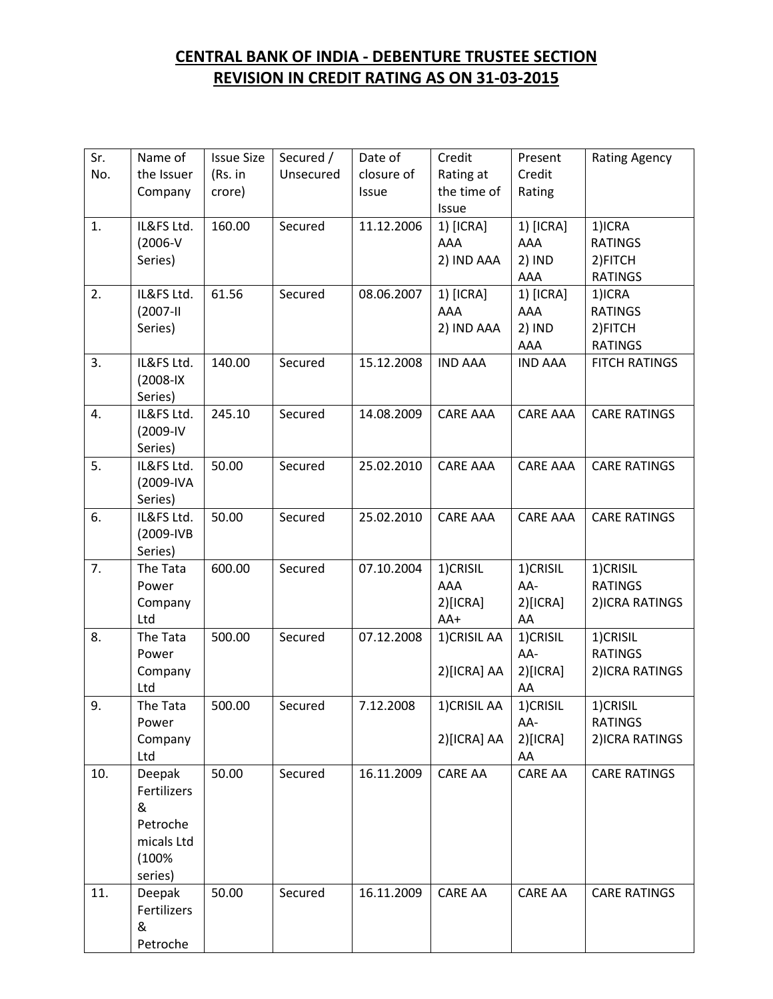## **CENTRAL BANK OF INDIA - DEBENTURE TRUSTEE SECTION REVISION IN CREDIT RATING AS ON 31-03-2015**

| Sr. | Name of        | <b>Issue Size</b> | Secured / | Date of    | Credit          | Present         | <b>Rating Agency</b>       |
|-----|----------------|-------------------|-----------|------------|-----------------|-----------------|----------------------------|
| No. | the Issuer     | (Rs. in           | Unsecured | closure of | Rating at       | Credit          |                            |
|     | Company        | crore)            |           | Issue      | the time of     | Rating          |                            |
|     |                |                   |           |            | Issue           |                 |                            |
| 1.  | IL&FS Ltd.     | 160.00            | Secured   | 11.12.2006 | 1) [ICRA]       | 1) [ICRA]       | 1)ICRA                     |
|     | $(2006-V)$     |                   |           |            | AAA             | AAA             | <b>RATINGS</b>             |
|     | Series)        |                   |           |            | 2) IND AAA      | 2) IND          | 2) FITCH                   |
|     |                |                   |           |            |                 | AAA             | <b>RATINGS</b>             |
| 2.  | IL&FS Ltd.     | 61.56             | Secured   | 08.06.2007 | 1) [ICRA]       | 1) [ICRA]       | 1)ICRA                     |
|     | $(2007 - 11)$  |                   |           |            | AAA             | AAA             | <b>RATINGS</b>             |
|     | Series)        |                   |           |            | 2) IND AAA      | 2) IND<br>AAA   | 2) FITCH<br><b>RATINGS</b> |
| 3.  | IL&FS Ltd.     | 140.00            | Secured   | 15.12.2008 | <b>IND AAA</b>  | <b>IND AAA</b>  | <b>FITCH RATINGS</b>       |
|     | $(2008 - IX)$  |                   |           |            |                 |                 |                            |
|     | Series)        |                   |           |            |                 |                 |                            |
| 4.  | IL&FS Ltd.     | 245.10            | Secured   | 14.08.2009 | <b>CARE AAA</b> | <b>CARE AAA</b> | <b>CARE RATINGS</b>        |
|     | (2009-IV       |                   |           |            |                 |                 |                            |
|     | Series)        |                   |           |            |                 |                 |                            |
| 5.  | IL&FS Ltd.     | 50.00             | Secured   | 25.02.2010 | <b>CARE AAA</b> | <b>CARE AAA</b> | <b>CARE RATINGS</b>        |
|     | (2009-IVA      |                   |           |            |                 |                 |                            |
|     | Series)        |                   |           |            |                 |                 |                            |
| 6.  | IL&FS Ltd.     | 50.00             | Secured   | 25.02.2010 | <b>CARE AAA</b> | <b>CARE AAA</b> | <b>CARE RATINGS</b>        |
|     | (2009-IVB      |                   |           |            |                 |                 |                            |
|     | Series)        |                   |           |            |                 |                 |                            |
| 7.  | The Tata       | 600.00            | Secured   | 07.10.2004 | 1)CRISIL        | 1)CRISIL        | 1)CRISIL                   |
|     | Power          |                   |           |            | AAA             | AA-             | <b>RATINGS</b>             |
|     | Company        |                   |           |            | $2)$ [ICRA]     | 2)[ICRA]        | 2) ICRA RATINGS            |
|     | Ltd            |                   |           |            | AA+             | AA              |                            |
| 8.  | The Tata       | 500.00            | Secured   | 07.12.2008 | 1) CRISIL AA    | 1)CRISIL        | 1)CRISIL                   |
|     | Power          |                   |           |            |                 | AA-             | <b>RATINGS</b>             |
|     | Company<br>Ltd |                   |           |            | 2)[ICRA] AA     | 2)[ICRA]<br>AA  | 2) ICRA RATINGS            |
| 9.  | The Tata       | 500.00            | Secured   | 7.12.2008  | 1) CRISIL AA    | 1)CRISIL        | 1)CRISIL                   |
|     | Power          |                   |           |            |                 | AA-             | <b>RATINGS</b>             |
|     | Company        |                   |           |            | 2)[ICRA] AA     | 2)[ICRA]        | 2) ICRA RATINGS            |
|     | Ltd            |                   |           |            |                 | AA              |                            |
| 10. | Deepak         | 50.00             | Secured   | 16.11.2009 | <b>CARE AA</b>  | <b>CARE AA</b>  | <b>CARE RATINGS</b>        |
|     | Fertilizers    |                   |           |            |                 |                 |                            |
|     | &              |                   |           |            |                 |                 |                            |
|     | Petroche       |                   |           |            |                 |                 |                            |
|     | micals Ltd     |                   |           |            |                 |                 |                            |
|     | (100%          |                   |           |            |                 |                 |                            |
|     | series)        |                   |           |            |                 |                 |                            |
| 11. | Deepak         | 50.00             | Secured   | 16.11.2009 | <b>CARE AA</b>  | <b>CARE AA</b>  | <b>CARE RATINGS</b>        |
|     | Fertilizers    |                   |           |            |                 |                 |                            |
|     | &              |                   |           |            |                 |                 |                            |
|     | Petroche       |                   |           |            |                 |                 |                            |